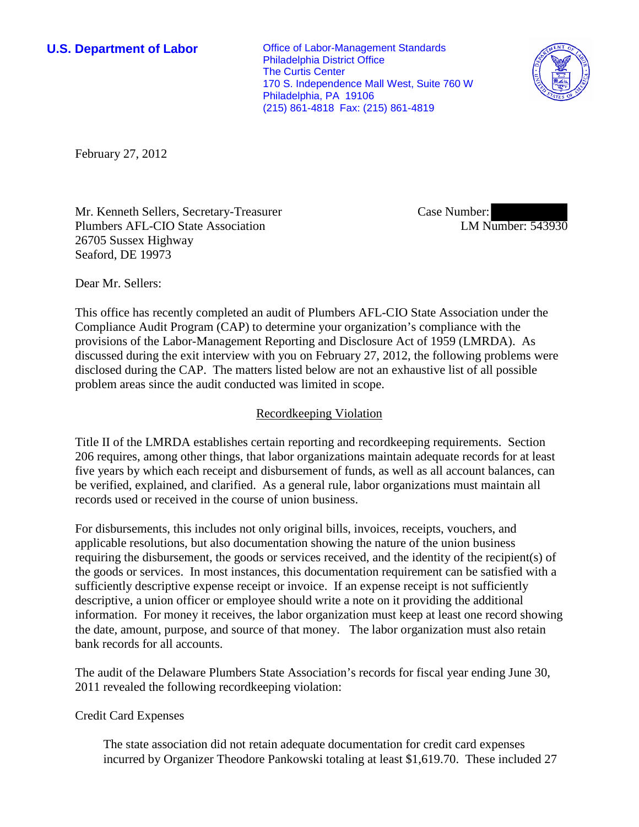**U.S. Department of Labor Conservative Conservative Conservative Conservative Conservative Conservative Conservative Conservative Conservative Conservative Conservative Conservative Conservative Conservative Conservative** Philadelphia District Office The Curtis Center 170 S. Independence Mall West, Suite 760 W Philadelphia, PA 19106 (215) 861-4818 Fax: (215) 861-4819



February 27, 2012

Mr. Kenneth Sellers, Secretary-Treasurer Plumbers AFL-CIO State Association 26705 Sussex Highway Seaford, DE 19973

Case Number: LM Number: 543930

Dear Mr. Sellers:

This office has recently completed an audit of Plumbers AFL-CIO State Association under the Compliance Audit Program (CAP) to determine your organization's compliance with the provisions of the Labor-Management Reporting and Disclosure Act of 1959 (LMRDA). As discussed during the exit interview with you on February 27, 2012, the following problems were disclosed during the CAP. The matters listed below are not an exhaustive list of all possible problem areas since the audit conducted was limited in scope.

## Recordkeeping Violation

Title II of the LMRDA establishes certain reporting and recordkeeping requirements. Section 206 requires, among other things, that labor organizations maintain adequate records for at least five years by which each receipt and disbursement of funds, as well as all account balances, can be verified, explained, and clarified. As a general rule, labor organizations must maintain all records used or received in the course of union business.

For disbursements, this includes not only original bills, invoices, receipts, vouchers, and applicable resolutions, but also documentation showing the nature of the union business requiring the disbursement, the goods or services received, and the identity of the recipient(s) of the goods or services. In most instances, this documentation requirement can be satisfied with a sufficiently descriptive expense receipt or invoice. If an expense receipt is not sufficiently descriptive, a union officer or employee should write a note on it providing the additional information. For money it receives, the labor organization must keep at least one record showing the date, amount, purpose, and source of that money. The labor organization must also retain bank records for all accounts.

The audit of the Delaware Plumbers State Association's records for fiscal year ending June 30, 2011 revealed the following recordkeeping violation:

### Credit Card Expenses

The state association did not retain adequate documentation for credit card expenses incurred by Organizer Theodore Pankowski totaling at least \$1,619.70. These included 27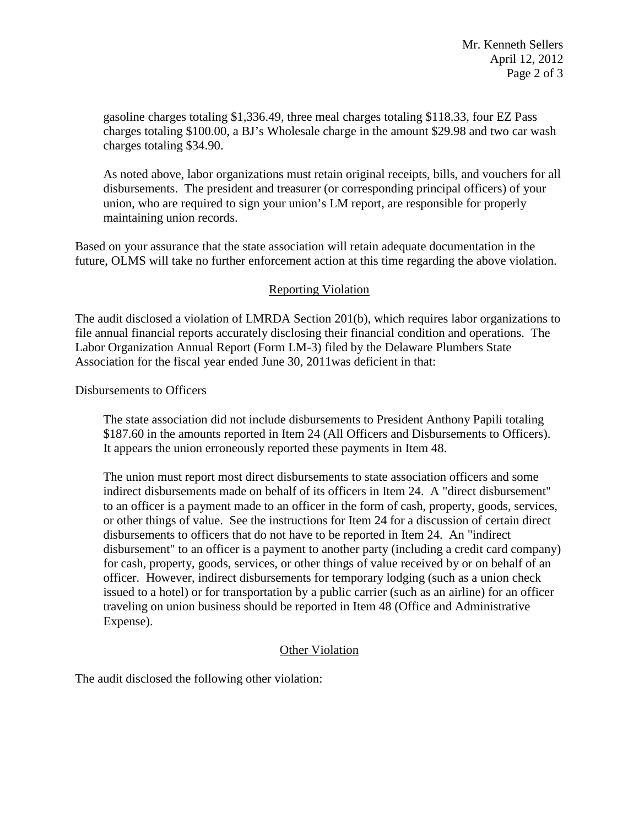gasoline charges totaling \$1,336.49, three meal charges totaling \$118.33, four EZ Pass charges totaling \$100.00, a BJ's Wholesale charge in the amount \$29.98 and two car wash charges totaling \$34.90.

As noted above, labor organizations must retain original receipts, bills, and vouchers for all disbursements. The president and treasurer (or corresponding principal officers) of your union, who are required to sign your union's LM report, are responsible for properly maintaining union records.

Based on your assurance that the state association will retain adequate documentation in the future, OLMS will take no further enforcement action at this time regarding the above violation.

## Reporting Violation

The audit disclosed a violation of LMRDA Section 201(b), which requires labor organizations to file annual financial reports accurately disclosing their financial condition and operations. The Labor Organization Annual Report (Form LM-3) filed by the Delaware Plumbers State Association for the fiscal year ended June 30, 2011was deficient in that:

Disbursements to Officers

The state association did not include disbursements to President Anthony Papili totaling \$187.60 in the amounts reported in Item 24 (All Officers and Disbursements to Officers). It appears the union erroneously reported these payments in Item 48.

The union must report most direct disbursements to state association officers and some indirect disbursements made on behalf of its officers in Item 24. A "direct disbursement" to an officer is a payment made to an officer in the form of cash, property, goods, services, or other things of value. See the instructions for Item 24 for a discussion of certain direct disbursements to officers that do not have to be reported in Item 24. An "indirect disbursement" to an officer is a payment to another party (including a credit card company) for cash, property, goods, services, or other things of value received by or on behalf of an officer. However, indirect disbursements for temporary lodging (such as a union check issued to a hotel) or for transportation by a public carrier (such as an airline) for an officer traveling on union business should be reported in Item 48 (Office and Administrative Expense).

# Other Violation

The audit disclosed the following other violation: